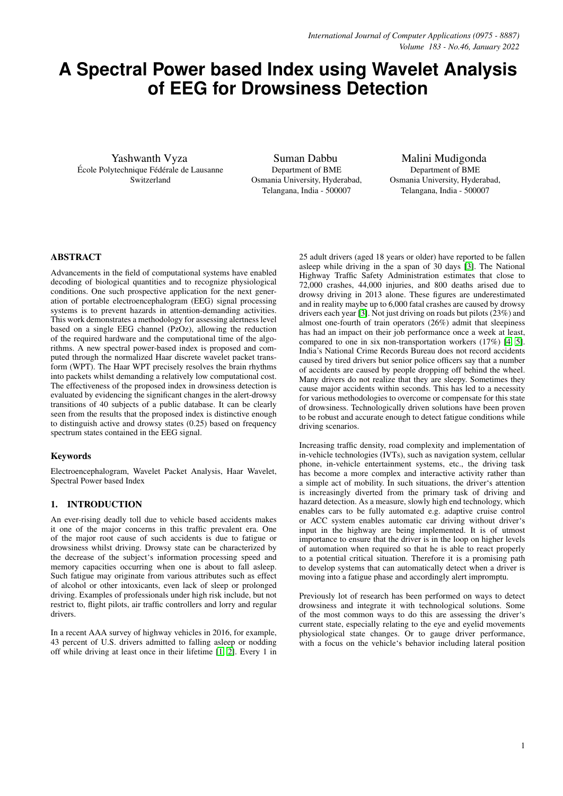# **A Spectral Power based Index using Wavelet Analysis of EEG for Drowsiness Detection**

Yashwanth Vyza École Polytechnique Fédérale de Lausanne Switzerland

Suman Dabbu Department of BME Osmania University, Hyderabad, Telangana, India - 500007

Malini Mudigonda Department of BME Osmania University, Hyderabad, Telangana, India - 500007

## ABSTRACT

Advancements in the field of computational systems have enabled decoding of biological quantities and to recognize physiological conditions. One such prospective application for the next generation of portable electroencephalogram (EEG) signal processing systems is to prevent hazards in attention-demanding activities. This work demonstrates a methodology for assessing alertness level based on a single EEG channel (PzOz), allowing the reduction of the required hardware and the computational time of the algorithms. A new spectral power-based index is proposed and computed through the normalized Haar discrete wavelet packet transform (WPT). The Haar WPT precisely resolves the brain rhythms into packets whilst demanding a relatively low computational cost. The effectiveness of the proposed index in drowsiness detection is evaluated by evidencing the significant changes in the alert-drowsy transitions of 40 subjects of a public database. It can be clearly seen from the results that the proposed index is distinctive enough to distinguish active and drowsy states (0.25) based on frequency spectrum states contained in the EEG signal.

#### Keywords

Electroencephalogram, Wavelet Packet Analysis, Haar Wavelet, Spectral Power based Index

# 1. INTRODUCTION

An ever-rising deadly toll due to vehicle based accidents makes it one of the major concerns in this traffic prevalent era. One of the major root cause of such accidents is due to fatigue or drowsiness whilst driving. Drowsy state can be characterized by the decrease of the subject's information processing speed and memory capacities occurring when one is about to fall asleep. Such fatigue may originate from various attributes such as effect of alcohol or other intoxicants, even lack of sleep or prolonged driving. Examples of professionals under high risk include, but not restrict to, flight pilots, air traffic controllers and lorry and regular drivers.

In a recent AAA survey of highway vehicles in 2016, for example, 43 percent of U.S. drivers admitted to falling asleep or nodding off while driving at least once in their lifetime [\[1,](#page-6-0) [2\]](#page-6-1). Every 1 in 25 adult drivers (aged 18 years or older) have reported to be fallen asleep while driving in the a span of 30 days [\[3\]](#page-6-2). The National Highway Traffic Safety Administration estimates that close to 72,000 crashes, 44,000 injuries, and 800 deaths arised due to drowsy driving in 2013 alone. These figures are underestimated and in reality maybe up to 6,000 fatal crashes are caused by drowsy drivers each year [\[3\]](#page-6-2). Not just driving on roads but pilots (23%) and almost one-fourth of train operators (26%) admit that sleepiness has had an impact on their job performance once a week at least, compared to one in six non-transportation workers (17%) [\[4,](#page-6-3) [5\]](#page-7-0). India's National Crime Records Bureau does not record accidents caused by tired drivers but senior police officers say that a number of accidents are caused by people dropping off behind the wheel. Many drivers do not realize that they are sleepy. Sometimes they cause major accidents within seconds. This has led to a necessity for various methodologies to overcome or compensate for this state of drowsiness. Technologically driven solutions have been proven to be robust and accurate enough to detect fatigue conditions while driving scenarios.

Increasing traffic density, road complexity and implementation of in-vehicle technologies (IVTs), such as navigation system, cellular phone, in-vehicle entertainment systems, etc., the driving task has become a more complex and interactive activity rather than a simple act of mobility. In such situations, the driver's attention is increasingly diverted from the primary task of driving and hazard detection. As a measure, slowly high end technology, which enables cars to be fully automated e.g. adaptive cruise control or ACC system enables automatic car driving without driver's input in the highway are being implemented. It is of utmost importance to ensure that the driver is in the loop on higher levels of automation when required so that he is able to react properly to a potential critical situation. Therefore it is a promising path to develop systems that can automatically detect when a driver is moving into a fatigue phase and accordingly alert impromptu.

Previously lot of research has been performed on ways to detect drowsiness and integrate it with technological solutions. Some of the most common ways to do this are assessing the driver's current state, especially relating to the eye and eyelid movements physiological state changes. Or to gauge driver performance, with a focus on the vehicle's behavior including lateral position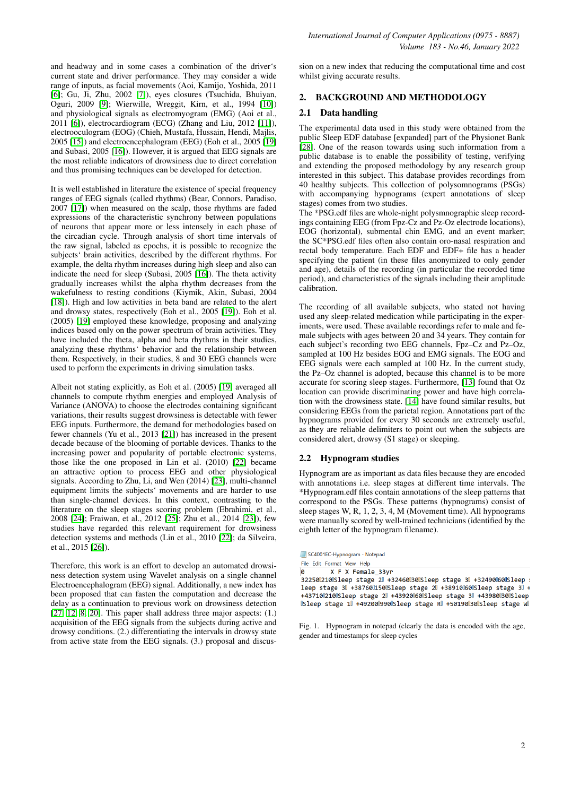and headway and in some cases a combination of the driver's current state and driver performance. They may consider a wide range of inputs, as facial movements (Aoi, Kamijo, Yoshida, 2011 [\[6\]](#page-7-1); Gu, Ji, Zhu, 2002 [\[7\]](#page-7-2)), eyes closures (Tsuchida, Bhuiyan, Oguri, 2009 [\[9\]](#page-7-3); Wierwille, Wreggit, Kirn, et al., 1994 [\[10\]](#page-7-4)) and physiological signals as electromyogram (EMG) (Aoi et al., 2011 [\[6\]](#page-7-1)), electrocardiogram (ECG) (Zhang and Liu, 2012 [\[11\]](#page-7-5)), electrooculogram (EOG) (Chieh, Mustafa, Hussain, Hendi, Majlis, 2005 [\[15\]](#page-7-6)) and electroencephalogram (EEG) (Eoh et al., 2005 [\[19\]](#page-7-7) and Subasi, 2005 [\[16\]](#page-7-8)). However, it is argued that EEG signals are the most reliable indicators of drowsiness due to direct correlation and thus promising techniques can be developed for detection.

It is well established in literature the existence of special frequency ranges of EEG signals (called rhythms) (Bear, Connors, Paradiso, 2007 [\[17\]](#page-7-9)) when measured on the scalp, those rhythms are faded expressions of the characteristic synchrony between populations of neurons that appear more or less intensely in each phase of the circadian cycle. Through analysis of short time intervals of the raw signal, labeled as epochs, it is possible to recognize the subjects' brain activities, described by the different rhythms. For example, the delta rhythm increases during high sleep and also can indicate the need for sleep (Subasi, 2005 [\[16\]](#page-7-8)). The theta activity gradually increases whilst the alpha rhythm decreases from the wakefulness to resting conditions (Kiymik, Akin, Subasi, 2004 [\[18\]](#page-7-10)). High and low activities in beta band are related to the alert and drowsy states, respectively (Eoh et al., 2005 [\[19\]](#page-7-7)). Eoh et al. (2005) [\[19\]](#page-7-7) employed these knowledge, proposing and analyzing indices based only on the power spectrum of brain activities. They have included the theta, alpha and beta rhythms in their studies, analyzing these rhythms' behavior and the relationship between them. Respectively, in their studies, 8 and 30 EEG channels were used to perform the experiments in driving simulation tasks.

Albeit not stating explicitly, as Eoh et al. (2005) [\[19\]](#page-7-7) averaged all channels to compute rhythm energies and employed Analysis of Variance (ANOVA) to choose the electrodes containing significant variations, their results suggest drowsiness is detectable with fewer EEG inputs. Furthermore, the demand for methodologies based on fewer channels (Yu et al., 2013 [\[21\]](#page-7-11)) has increased in the present decade because of the blooming of portable devices. Thanks to the increasing power and popularity of portable electronic systems, those like the one proposed in Lin et al. (2010) [\[22\]](#page-7-12) became an attractive option to process EEG and other physiological signals. According to Zhu, Li, and Wen (2014) [\[23\]](#page-7-13), multi-channel equipment limits the subjects' movements and are harder to use than single-channel devices. In this context, contrasting to the literature on the sleep stages scoring problem (Ebrahimi, et al., 2008 [\[24\]](#page-7-14); Fraiwan, et al., 2012 [\[25\]](#page-7-15); Zhu et al., 2014 [\[23\]](#page-7-13)), few studies have regarded this relevant requirement for drowsiness detection systems and methods (Lin et al., 2010 [\[22\]](#page-7-12); da Silveira, et al., 2015 [\[26\]](#page-7-16)).

Therefore, this work is an effort to develop an automated drowsiness detection system using Wavelet analysis on a single channel Electroencephalogram (EEG) signal. Additionally, a new index has been proposed that can fasten the computation and decrease the delay as a continuation to previous work on drowsiness detection [\[27,](#page-7-17) [12,](#page-7-18) [8,](#page-7-19) [20\]](#page-7-20). This paper shall address three major aspects: (1.) acquisition of the EEG signals from the subjects during active and drowsy conditions. (2.) differentiating the intervals in drowsy state from active state from the EEG signals. (3.) proposal and discussion on a new index that reducing the computational time and cost whilst giving accurate results.

## 2. BACKGROUND AND METHODOLOGY

# 2.1 Data handling

The experimental data used in this study were obtained from the public Sleep EDF database [expanded] part of the Physionet Bank [\[28\]](#page-7-21). One of the reason towards using such information from a public database is to enable the possibility of testing, verifying and extending the proposed methodology by any research group interested in this subject. This database provides recordings from 40 healthy subjects. This collection of polysomnograms (PSGs) with accompanying hypnograms (expert annotations of sleep stages) comes from two studies.

The \*PSG.edf files are whole-night polysmnographic sleep recordings containing EEG (from Fpz-Cz and Pz-Oz electrode locations), EOG (horizontal), submental chin EMG, and an event marker; the SC\*PSG.edf files often also contain oro-nasal respiration and rectal body temperature. Each EDF and EDF+ file has a header specifying the patient (in these files anonymized to only gender and age), details of the recording (in particular the recorded time period), and characteristics of the signals including their amplitude calibration.

The recording of all available subjects, who stated not having used any sleep-related medication while participating in the experiments, were used. These available recordings refer to male and female subjects with ages between 20 and 34 years. They contain for each subject's recording two EEG channels, Fpz–Cz and Pz–Oz, sampled at 100 Hz besides EOG and EMG signals. The EOG and EEG signals were each sampled at 100 Hz. In the current study, the Pz–Oz channel is adopted, because this channel is to be more accurate for scoring sleep stages. Furthermore, [\[13\]](#page-7-22) found that Oz location can provide discriminating power and have high correlation with the drowsiness state. [\[14\]](#page-7-23) have found similar results, but considering EEGs from the parietal region. Annotations part of the hypnograms provided for every 30 seconds are extremely useful, as they are reliable delimiters to point out when the subjects are considered alert, drowsy (S1 stage) or sleeping.

#### 2.2 Hypnogram studies

Hypnogram are as important as data files because they are encoded with annotations i.e. sleep stages at different time intervals. The \*Hypnogram.edf files contain annotations of the sleep patterns that correspond to the PSGs. These patterns (hypnograms) consist of sleep stages W, R, 1, 2, 3, 4, M (Movement time). All hypnograms were manually scored by well-trained technicians (identified by the eighth letter of the hypnogram filename).

X F X Female\_33yr %<br>32250||210||Sleep stage 2|| +32460||30||Sleep stage 3|| +32490||60||Sleep :<br>1eep stage 3|| +38760||150||Sleep stage 2|| +38910||60||Sleep stage 3|| + +43710 210 Sleep stage 2 +43920 60 Sleep stage 3 +43980 30 Sleep USleep stage 1 +49200 990 Sleep stage R +50190 30 Sleep stage W

Fig. 1. Hypnogram in notepad (clearly the data is encoded with the age, gender and timestamps for sleep cycles

SC4001EC-Hypnogram - Notepad

File Edit Format View Help ø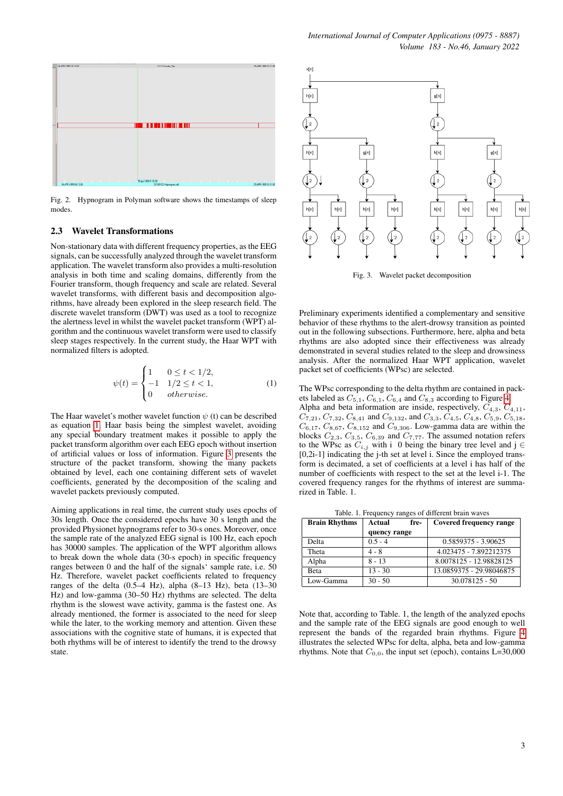

Fig. 2. Hypnogram in Polyman software shows the timestamps of sleep modes.

#### 2.3 Wavelet Transformations

Non-stationary data with different frequency properties, as the EEG signals, can be successfully analyzed through the wavelet transform application. The wavelet transform also provides a multi-resolution analysis in both time and scaling domains, differently from the Fourier transform, though frequency and scale are related. Several wavelet transforms, with different basis and decomposition algorithms, have already been explored in the sleep research field. The discrete wavelet transform (DWT) was used as a tool to recognize the alertness level in whilst the wavelet packet transform (WPT) algorithm and the continuous wavelet transform were used to classify sleep stages respectively. In the current study, the Haar WPT with normalized filters is adopted.

<span id="page-2-0"></span>
$$
\psi(t) = \begin{cases} 1 & 0 \le t < 1/2, \\ -1 & 1/2 \le t < 1, \\ 0 & otherwise. \end{cases}
$$
 (1)

The Haar wavelet's mother wavelet function  $\psi$  (t) can be described as equation [1.](#page-2-0) Haar basis being the simplest wavelet, avoiding any special boundary treatment makes it possible to apply the packet transform algorithm over each EEG epoch without insertion of artificial values or loss of information. Figure [3](#page-2-1) presents the structure of the packet transform, showing the many packets obtained by level, each one containing different sets of wavelet coefficients, generated by the decomposition of the scaling and wavelet packets previously computed.

Aiming applications in real time, the current study uses epochs of 30s length. Once the considered epochs have 30 s length and the provided Physionet hypnograms refer to 30-s ones. Moreover, once the sample rate of the analyzed EEG signal is 100 Hz, each epoch has 30000 samples. The application of the WPT algorithm allows to break down the whole data (30-s epoch) in specific frequency ranges between 0 and the half of the signals' sample rate, i.e. 50 Hz. Therefore, wavelet packet coefficients related to frequency ranges of the delta (0.5–4 Hz), alpha (8–13 Hz), beta (13–30 Hz) and low-gamma (30–50 Hz) rhythms are selected. The delta rhythm is the slowest wave activity, gamma is the fastest one. As already mentioned, the former is associated to the need for sleep while the later, to the working memory and attention. Given these associations with the cognitive state of humans, it is expected that both rhythms will be of interest to identify the trend to the drowsy state.



<span id="page-2-1"></span>Fig. 3. Wavelet packet decomposition

Preliminary experiments identified a complementary and sensitive behavior of these rhythms to the alert-drowsy transition as pointed out in the following subsections. Furthermore, here, alpha and beta rhythms are also adopted since their effectiveness was already demonstrated in several studies related to the sleep and drowsiness analysis. After the normalized Haar WPT application, wavelet packet set of coefficients (WPsc) are selected.

The WPsc corresponding to the delta rhythm are contained in packets labeled as  $C_{5,1}$ ,  $C_{6,1}$ ,  $C_{6,4}$  and  $C_{8,3}$  according to Figure [4.](#page-3-0) Alpha and beta information are inside, respectively,  $C_{4,3}$ ,  $C_{4,11}$ ,  $C_{7,21}$ ,  $C_{7,32}$ ,  $C_{8,41}$  and  $C_{9,132}$ , and  $C_{3,3}$ ,  $C_{4,5}$ ,  $C_{4,8}$ ,  $C_{5,9}$ ,  $C_{5,18}$ ,  $C_{6,17}$ ,  $C_{8,67}$ ,  $C_{8,152}$  and  $C_{9,306}$ . Low-gamma data are within the blocks  $C_{2,3}$ ,  $C_{3,5}$ ,  $C_{6,39}$  and  $C_{7,77}$ . The assumed notation refers to the WPsc as  $C_{i,j}$  with i 0 being the binary tree level and j  $\in$ [0,2i-1] indicating the j-th set at level i. Since the employed transform is decimated, a set of coefficients at a level i has half of the number of coefficients with respect to the set at the level i-1. The covered frequency ranges for the rhythms of interest are summarized in Table. 1.

Table. 1. Frequency ranges of different brain waves

| <b>Brain Rhythms</b> | Actual<br>fre- | <b>Covered frequency range</b> |
|----------------------|----------------|--------------------------------|
|                      | quency range   |                                |
| Delta                | $0.5 - 4$      | 0.5859375 - 3.90625            |
| Theta                | $4 - 8$        | 4.023475 - 7.892212375         |
| Alpha                | $8 - 13$       | 8.0078125 - 12.98828125        |
| <b>Beta</b>          | $13 - 30$      | 13.0859375 - 29.98046875       |
| Low-Gamma            | $30 - 50$      | $30.078125 - 50$               |

Note that, according to Table. 1, the length of the analyzed epochs and the sample rate of the EEG signals are good enough to well represent the bands of the regarded brain rhythms. Figure [4](#page-3-0) illustrates the selected WPsc for delta, alpha, beta and low-gamma rhythms. Note that  $C_{0,0}$ , the input set (epoch), contains L=30,000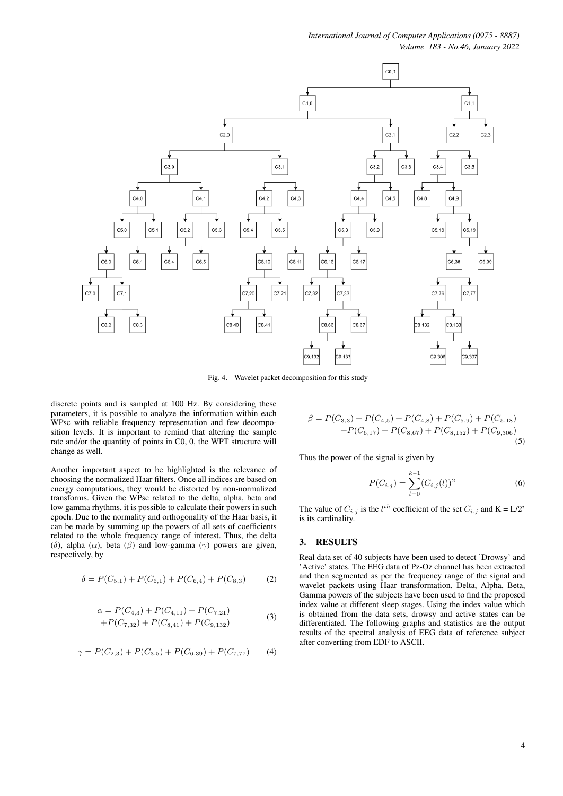

<span id="page-3-0"></span>Fig. 4. Wavelet packet decomposition for this study

discrete points and is sampled at 100 Hz. By considering these parameters, it is possible to analyze the information within each WPsc with reliable frequency representation and few decomposition levels. It is important to remind that altering the sample rate and/or the quantity of points in C0, 0, the WPT structure will change as well.

Another important aspect to be highlighted is the relevance of choosing the normalized Haar filters. Once all indices are based on energy computations, they would be distorted by non-normalized transforms. Given the WPsc related to the delta, alpha, beta and low gamma rhythms, it is possible to calculate their powers in such epoch. Due to the normality and orthogonality of the Haar basis, it can be made by summing up the powers of all sets of coefficients related to the whole frequency range of interest. Thus, the delta (δ), alpha ( $\alpha$ ), beta ( $\beta$ ) and low-gamma ( $\gamma$ ) powers are given, respectively, by

$$
\delta = P(C_{5,1}) + P(C_{6,1}) + P(C_{6,4}) + P(C_{8,3})
$$
 (2)

$$
\alpha = P(C_{4,3}) + P(C_{4,11}) + P(C_{7,21}) + P(C_{7,32}) + P(C_{8,41}) + P(C_{9,132})
$$
\n(3)

$$
\gamma = P(C_{2,3}) + P(C_{3,5}) + P(C_{6,39}) + P(C_{7,77})
$$
 (4)

$$
\beta = P(C_{3,3}) + P(C_{4,5}) + P(C_{4,8}) + P(C_{5,9}) + P(C_{5,18}) + P(C_{6,17}) + P(C_{8,67}) + P(C_{8,152}) + P(C_{9,306})
$$
\n(5)

Thus the power of the signal is given by

$$
P(C_{i,j}) = \sum_{l=0}^{k-1} (C_{i,j}(l))^2
$$
 (6)

The value of  $C_{i,j}$  is the  $l^{th}$  coefficient of the set  $C_{i,j}$  and  $K = L/2^{i}$ is its cardinality.

### 3. RESULTS

Real data set of 40 subjects have been used to detect 'Drowsy' and 'Active' states. The EEG data of Pz-Oz channel has been extracted and then segmented as per the frequency range of the signal and wavelet packets using Haar transformation. Delta, Alpha, Beta, Gamma powers of the subjects have been used to find the proposed index value at different sleep stages. Using the index value which is obtained from the data sets, drowsy and active states can be differentiated. The following graphs and statistics are the output results of the spectral analysis of EEG data of reference subject after converting from EDF to ASCII.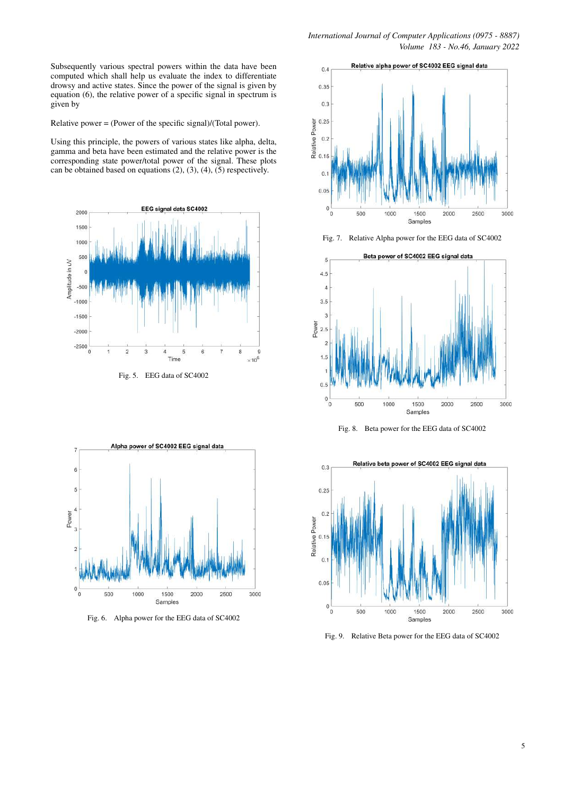Subsequently various spectral powers within the data have been computed which shall help us evaluate the index to differentiate drowsy and active states. Since the power of the signal is given by equation (6), the relative power of a specific signal in spectrum is given by

Relative power = (Power of the specific signal)/(Total power).

Using this principle, the powers of various states like alpha, delta, gamma and beta have been estimated and the relative power is the corresponding state power/total power of the signal. These plots can be obtained based on equations (2), (3), (4), (5) respectively.





Fig. 6. Alpha power for the EEG data of SC4002



Fig. 7. Relative Alpha power for the EEG data of SC4002



Fig. 8. Beta power for the EEG data of SC4002



Fig. 9. Relative Beta power for the EEG data of SC4002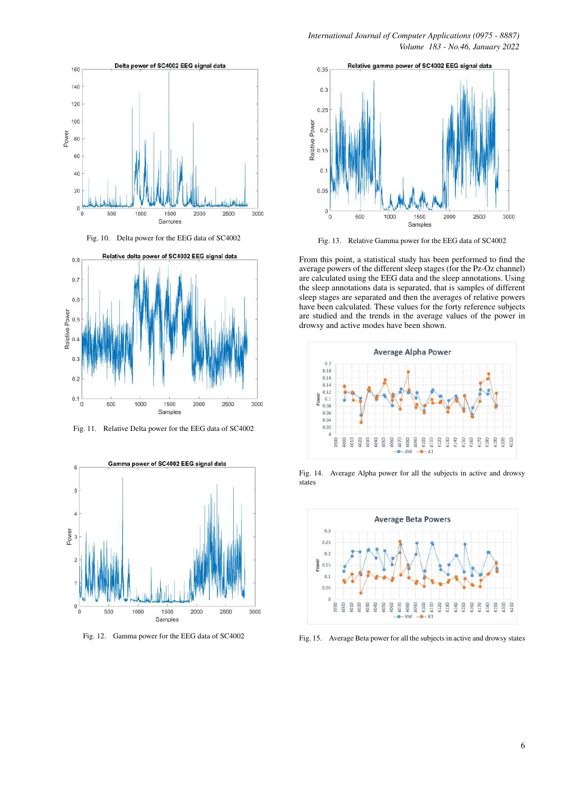



Fig. 10. Delta power for the EEG data of SC4002



Fig. 11. Relative Delta power for the EEG data of SC4002



Fig. 12. Gamma power for the EEG data of SC4002



Fig. 13. Relative Gamma power for the EEG data of SC4002

From this point, a statistical study has been performed to find the average powers of the different sleep stages (for the Pz-Oz channel) are calculated using the EEG data and the sleep annotations. Using the sleep annotations data is separated, that is samples of different sleep stages are separated and then the averages of relative powers have been calculated. These values for the forty reference subjects are studied and the trends in the average values of the power in drowsy and active modes have been shown.



Fig. 14. Average Alpha power for all the subjects in active and drowsy states



Fig. 15. Average Beta power for all the subjects in active and drowsy states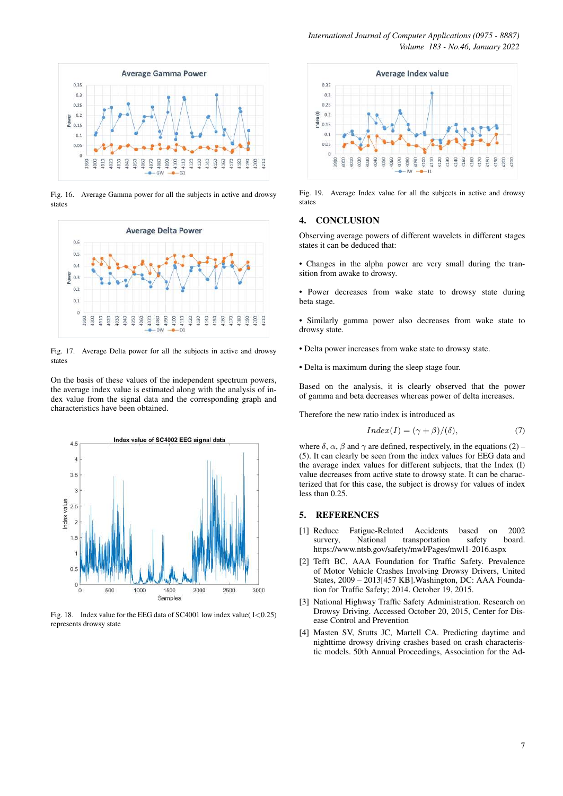

Fig. 16. Average Gamma power for all the subjects in active and drowsy states



Fig. 17. Average Delta power for all the subjects in active and drowsy states

On the basis of these values of the independent spectrum powers, the average index value is estimated along with the analysis of index value from the signal data and the corresponding graph and characteristics have been obtained.



Fig. 18. Index value for the EEG data of SC4001 low index value(I<0.25) represents drowsy state



Fig. 19. Average Index value for all the subjects in active and drowsy states

#### 4. CONCLUSION

Observing average powers of different wavelets in different stages states it can be deduced that:

- Changes in the alpha power are very small during the transition from awake to drowsy.
- Power decreases from wake state to drowsy state during beta stage.

• Similarly gamma power also decreases from wake state to drowsy state.

- Delta power increases from wake state to drowsy state.
- Delta is maximum during the sleep stage four.

Based on the analysis, it is clearly observed that the power of gamma and beta decreases whereas power of delta increases.

Therefore the new ratio index is introduced as

$$
Index(I) = (\gamma + \beta)/(\delta), \tag{7}
$$

where  $\delta$ ,  $\alpha$ ,  $\beta$  and  $\gamma$  are defined, respectively, in the equations (2) – (5). It can clearly be seen from the index values for EEG data and the average index values for different subjects, that the Index (I) value decreases from active state to drowsy state. It can be characterized that for this case, the subject is drowsy for values of index less than 0.25.

## 5. REFERENCES

- <span id="page-6-0"></span>[1] Reduce Fatigue-Related Accidents based on 2002 survery, National transportation safety board. https://www.ntsb.gov/safety/mwl/Pages/mwl1-2016.aspx
- <span id="page-6-1"></span>[2] Tefft BC, AAA Foundation for Traffic Safety. Prevalence of Motor Vehicle Crashes Involving Drowsy Drivers, United States, 2009 – 2013[457 KB].Washington, DC: AAA Foundation for Traffic Safety; 2014. October 19, 2015.
- <span id="page-6-2"></span>[3] National Highway Traffic Safety Administration. Research on Drowsy Driving. Accessed October 20, 2015, Center for Disease Control and Prevention
- <span id="page-6-3"></span>[4] Masten SV, Stutts JC, Martell CA. Predicting daytime and nighttime drowsy driving crashes based on crash characteristic models. 50th Annual Proceedings, Association for the Ad-